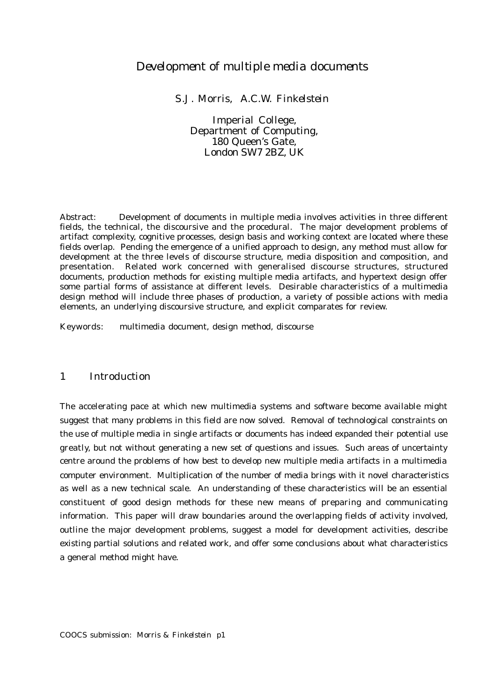# *Development of multiple media documents*

*S.J. Morris, A.C.W. Finkelstein*

Imperial College, Department of Computing, 180 Queen's Gate, London SW7 2BZ, UK

Abstract: Development of documents in multiple media involves activities in three different fields, the technical, the discoursive and the procedural. The major development problems of artifact complexity, cognitive processes, design basis and working context are located where these fields overlap. Pending the emergence of a unified approach to design, any method must allow for development at the three levels of discourse structure, media disposition and composition, and presentation. Related work concerned with generalised discourse structures, structured documents, production methods for existing multiple media artifacts, and hypertext design offer some partial forms of assistance at different levels. Desirable characteristics of a multimedia design method will include three phases of production, a variety of possible actions with media elements, an underlying discoursive structure, and explicit comparates for review.

Keywords: multimedia document, design method, discourse

# *1 Introduction*

The accelerating pace at which new multimedia systems and software become available might suggest that many problems in this field are now solved. Removal of technological constraints on the use of multiple media in single artifacts or documents has indeed expanded their potential use greatly, but not without generating a new set of questions and issues. Such areas of uncertainty centre around the problems of how best to develop new multiple media artifacts in a multimedia computer environment. Multiplication of the number of media brings with it novel characteristics as well as a new technical scale. An understanding of these characteristics will be an essential constituent of good design methods for these new means of preparing and communicating information. This paper will draw boundaries around the overlapping fields of activity involved, outline the major development problems, suggest a model for development activities, describe existing partial solutions and related work, and offer some conclusions about what characteristics a general method might have.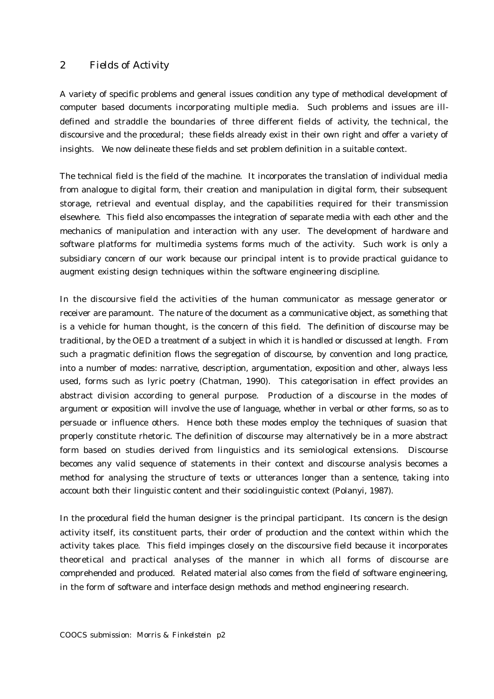# *2 Fields of Activity*

A variety of specific problems and general issues condition any type of methodical development of computer based documents incorporating multiple media. Such problems and issues are illdefined and straddle the boundaries of three different fields of activity, the technical, the discoursive and the procedural; these fields already exist in their own right and offer a variety of insights. We now delineate these fields and set problem definition in a suitable context.

The technical field is the field of the machine. It incorporates the translation of individual media from analogue to digital form, their creation and manipulation in digital form, their subsequent storage, retrieval and eventual display, and the capabilities required for their transmission elsewhere. This field also encompasses the integration of separate media with each other and the mechanics of manipulation and interaction with any user. The development of hardware and software platforms for multimedia systems forms much of the activity. Such work is only a subsidiary concern of our work because our principal intent is to provide practical guidance to augment existing design techniques within the software engineering discipline.

In the discoursive field the activities of the human communicator as message generator or receiver are paramount. The nature of the document as a communicative object, as something that is a vehicle for human thought, is the concern of this field. The definition of discourse may be traditional, by the OED a treatment of a subject in which it is handled or discussed at length. From such a pragmatic definition flows the segregation of discourse, by convention and long practice, into a number of modes: narrative, description, argumentation, exposition and other, always less used, forms such as lyric poetry (Chatman, 1990). This categorisation in effect provides an abstract division according to general purpose. Production of a discourse in the modes of argument or exposition will involve the use of language, whether in verbal or other forms, so as to persuade or influence others. Hence both these modes employ the techniques of suasion that properly constitute rhetoric. The definition of discourse may alternatively be in a more abstract form based on studies derived from linguistics and its semiological extensions. Discourse becomes any valid sequence of statements in their context and discourse analysis becomes a method for analysing the structure of texts or utterances longer than a sentence, taking into account both their linguistic content and their sociolinguistic context (Polanyi, 1987).

In the procedural field the human designer is the principal participant. Its concern is the design activity itself, its constituent parts, their order of production and the context within which the activity takes place. This field impinges closely on the discoursive field because it incorporates theoretical and practical analyses of the manner in which all forms of discourse are comprehended and produced. Related material also comes from the field of software engineering, in the form of software and interface design methods and method engineering research.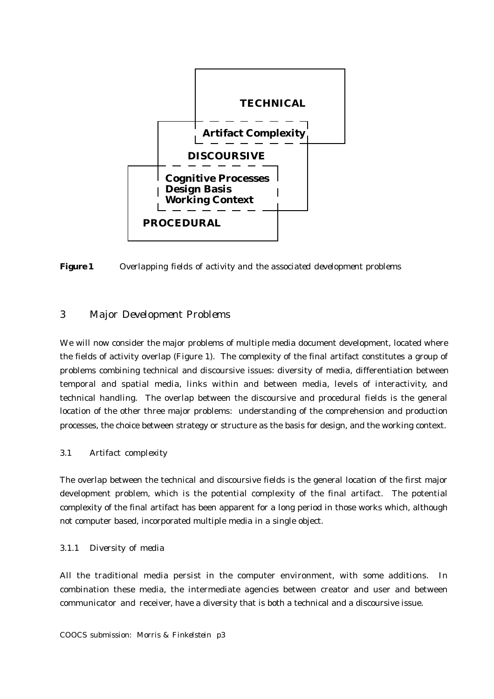

*Figure 1 Overlapping fields of activity and the associated development problems*

# *3 Major Development Problems*

We will now consider the major problems of multiple media document development, located where the fields of activity overlap (Figure 1). The complexity of the final artifact constitutes a group of problems combining technical and discoursive issues: diversity of media, differentiation between temporal and spatial media, links within and between media, levels of interactivity, and technical handling. The overlap between the discoursive and procedural fields is the general location of the other three major problems: understanding of the comprehension and production processes, the choice between strategy or structure as the basis for design, and the working context.

### *3.1 Artifact complexity*

The overlap between the technical and discoursive fields is the general location of the first major development problem, which is the potential complexity of the final artifact. The potential complexity of the final artifact has been apparent for a long period in those works which, although not computer based, incorporated multiple media in a single object.

### *3.1.1 Diversity of media*

All the traditional media persist in the computer environment, with some additions. In combination these media, the intermediate agencies between creator and user and between communicator and receiver, have a diversity that is both a technical and a discoursive issue.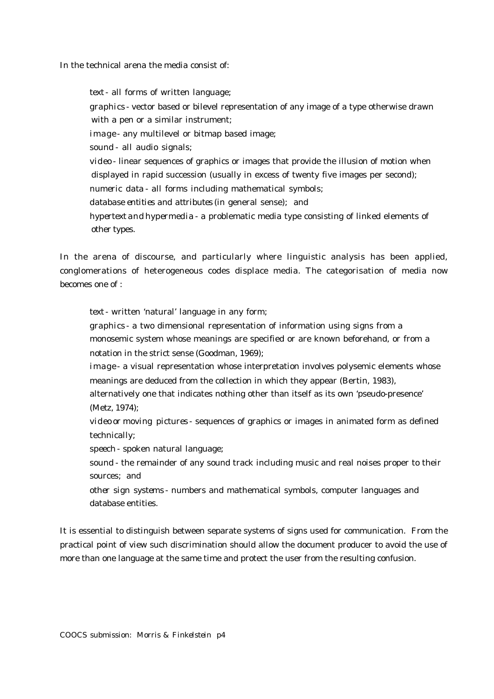In the technical arena the media consist of:

*text* - all forms of written language; *graphics* - vector based or bilevel representation of any image of a type otherwise drawn with a pen or a similar instrument; *image* - any multilevel or bitmap based image; *sound* - all audio signals; *video* - linear sequences of graphics or images that provide the illusion of motion when displayed in rapid succession (usually in excess of twenty five images per second); *numeric data* - all forms including mathematical symbols; *database entities and attributes* (in general sense); and *hypertext* and *hypermedia* - a problematic media type consisting of linked elements of other types.

In the arena of discourse, and particularly where linguistic analysis has been applied, conglomerations of heterogeneous codes displace media. The categorisation of media now becomes one of :

*text* - written 'natural' language in any form;

*graphics* - a two dimensional representation of information using signs from a monosemic system whose meanings are specified or are known beforehand, or from a notation in the strict sense (Goodman, 1969);

*image* - a visual representation whose interpretation involves polysemic elements whose meanings are deduced from the collection in which they appear (Bertin, 1983),

alternatively one that indicates nothing other than itself as its own 'pseudo-presence' (Metz, 1974);

*video* or *moving pictures* - sequences of graphics or images in animated form as defined technically;

*speech* - spoken natural language;

*sound* - the remainder of any sound track including music and real noises proper to their sources; and

*other sign systems* - numbers and mathematical symbols, computer languages and database entities.

It is essential to distinguish between separate systems of signs used for communication. From the practical point of view such discrimination should allow the document producer to avoid the use of more than one language at the same time and protect the user from the resulting confusion.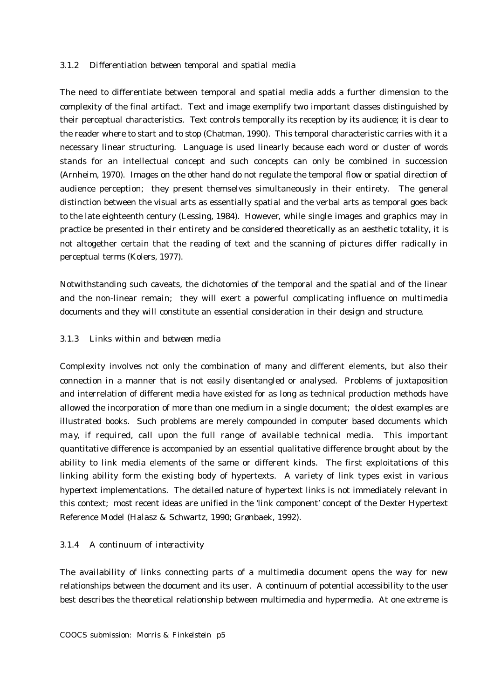#### *3.1.2 Differentiation between temporal and spatial media*

The need to differentiate between temporal and spatial media adds a further dimension to the complexity of the final artifact. Text and image exemplify two important classes distinguished by their perceptual characteristics. Text controls temporally its reception by its audience; it is clear to the reader where to start and to stop (Chatman, 1990). This temporal characteristic carries with it a necessary linear structuring. Language is used linearly because each word or cluster of words stands for an intellectual concept and such concepts can only be combined in succession (Arnheim, 1970). Images on the other hand do not regulate the temporal flow or spatial direction of audience perception; they present themselves simultaneously in their entirety. The general distinction between the visual arts as essentially spatial and the verbal arts as temporal goes back to the late eighteenth century (Lessing, 1984). However, while single images and graphics may in practice be presented in their entirety and be considered theoretically as an aesthetic totality, it is not altogether certain that the reading of text and the scanning of pictures differ radically in perceptual terms (Kolers, 1977).

Notwithstanding such caveats, the dichotomies of the temporal and the spatial and of the linear and the non-linear remain; they will exert a powerful complicating influence on multimedia documents and they will constitute an essential consideration in their design and structure.

#### *3.1.3 Links within and between media*

Complexity involves not only the combination of many and different elements, but also their connection in a manner that is not easily disentangled or analysed. Problems of juxtaposition and interrelation of different media have existed for as long as technical production methods have allowed the incorporation of more than one medium in a single document; the oldest examples are illustrated books. Such problems are merely compounded in computer based documents which may, if required, call upon the full range of available technical media. This important quantitative difference is accompanied by an essential qualitative difference brought about by the ability to link media elements of the same or different kinds. The first exploitations of this linking ability form the existing body of hypertexts. A variety of link types exist in various hypertext implementations. The detailed nature of hypertext links is not immediately relevant in this context; most recent ideas are unified in the 'link component' concept of the Dexter Hypertext Reference Model (Halasz & Schwartz, 1990; Grønbaek, 1992).

### *3.1.4 A continuum of interactivity*

The availability of links connecting parts of a multimedia document opens the way for new relationships between the document and its user. A continuum of potential accessibility to the user best describes the theoretical relationship between multimedia and hypermedia. At one extreme is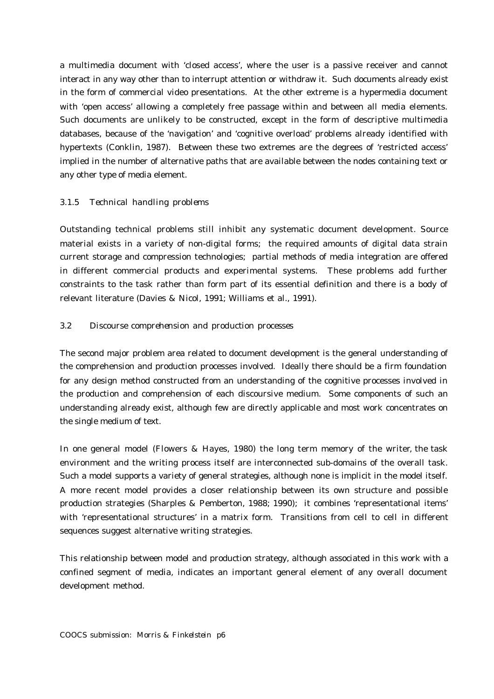a multimedia document with 'closed access', where the user is a passive receiver and cannot interact in any way other than to interrupt attention or withdraw it. Such documents already exist in the form of commercial video presentations. At the other extreme is a hypermedia document with 'open access' allowing a completely free passage within and between all media elements. Such documents are unlikely to be constructed, except in the form of descriptive multimedia databases, because of the 'navigation' and 'cognitive overload' problems already identified with hypertexts (Conklin, 1987). Between these two extremes are the degrees of 'restricted access' implied in the number of alternative paths that are available between the nodes containing text or any other type of media element.

## *3.1.5 Technical handling problems*

Outstanding technical problems still inhibit any systematic document development. Source material exists in a variety of non-digital forms; the required amounts of digital data strain current storage and compression technologies; partial methods of media integration are offered in different commercial products and experimental systems. These problems add further constraints to the task rather than form part of its essential definition and there is a body of relevant literature (Davies & Nicol, 1991; Williams et al., 1991).

# *3.2 Discourse comprehension and production processes*

The second major problem area related to document development is the general understanding of the comprehension and production processes involved. Ideally there should be a firm foundation for any design method constructed from an understanding of the cognitive processes involved in the production and comprehension of each discoursive medium. Some components of such an understanding already exist, although few are directly applicable and most work concentrates on the single medium of text.

In one general model (Flowers & Hayes, 1980) the long term memory of the writer, the task environment and the writing process itself are interconnected sub-domains of the overall task. Such a model supports a variety of general strategies, although none is implicit in the model itself. A more recent model provides a closer relationship between its own structure and possible production strategies (Sharples & Pemberton, 1988; 1990); it combines 'representational items' with 'representational structures' in a matrix form. Transitions from cell to cell in different sequences suggest alternative writing strategies.

This relationship between model and production strategy, although associated in this work with a confined segment of media, indicates an important general element of any overall document development method.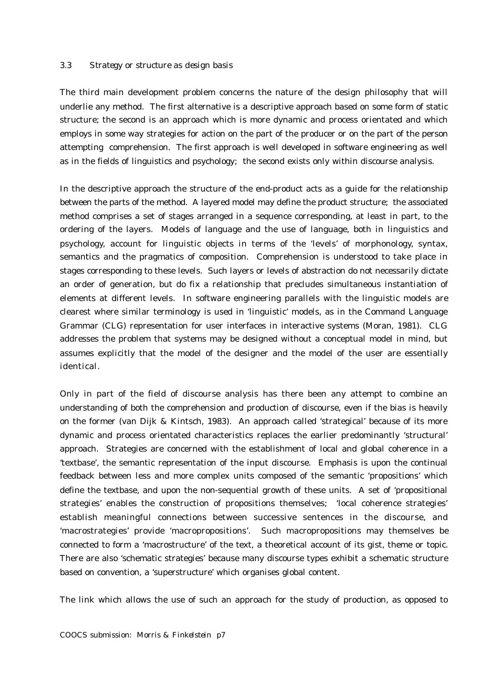#### *3.3 Strategy or structure as design basis*

The third main development problem concerns the nature of the design philosophy that will underlie any method. The first alternative is a descriptive approach based on some form of static structure; the second is an approach which is more dynamic and process orientated and which employs in some way strategies for action on the part of the producer or on the part of the person attempting comprehension. The first approach is well developed in software engineering as well as in the fields of linguistics and psychology; the second exists only within discourse analysis.

In the descriptive approach the structure of the end-product acts as a guide for the relationship between the parts of the method. A layered model may define the product structure; the associated method comprises a set of stages arranged in a sequence corresponding, at least in part, to the ordering of the layers. Models of language and the use of language, both in linguistics and psychology, account for linguistic objects in terms of the 'levels' of morphonology, syntax, semantics and the pragmatics of composition. Comprehension is understood to take place in stages corresponding to these levels. Such layers or levels of abstraction do not necessarily dictate an order of generation, but do fix a relationship that precludes simultaneous instantiation of elements at different levels. In software engineering parallels with the linguistic models are clearest where similar terminology is used in 'linguistic' models, as in the Command Language Grammar (CLG) representation for user interfaces in interactive systems (Moran, 1981). CLG addresses the problem that systems may be designed without a conceptual model in mind, but assumes explicitly that the model of the designer and the model of the user are essentially identical.

Only in part of the field of discourse analysis has there been any attempt to combine an understanding of both the comprehension and production of discourse, even if the bias is heavily on the former (van Dijk & Kintsch, 1983). An approach called 'strategical' because of its more dynamic and process orientated characteristics replaces the earlier predominantly 'structural' approach. Strategies are concerned with the establishment of local and global coherence in a 'textbase', the semantic representation of the input discourse. Emphasis is upon the continual feedback between less and more complex units composed of the semantic 'propositions' which define the textbase, and upon the non-sequential growth of these units. A set of 'propositional strategies' enables the construction of propositions themselves; 'local coherence strategies' establish meaningful connections between successive sentences in the discourse, and 'macrostrategies' provide 'macropropositions'. Such macropropositions may themselves be connected to form a 'macrostructure' of the text, a theoretical account of its gist, theme or topic. There are also 'schematic strategies' because many discourse types exhibit a schematic structure based on convention, a 'superstructure' which organises global content.

The link which allows the use of such an approach for the study of production, as opposed to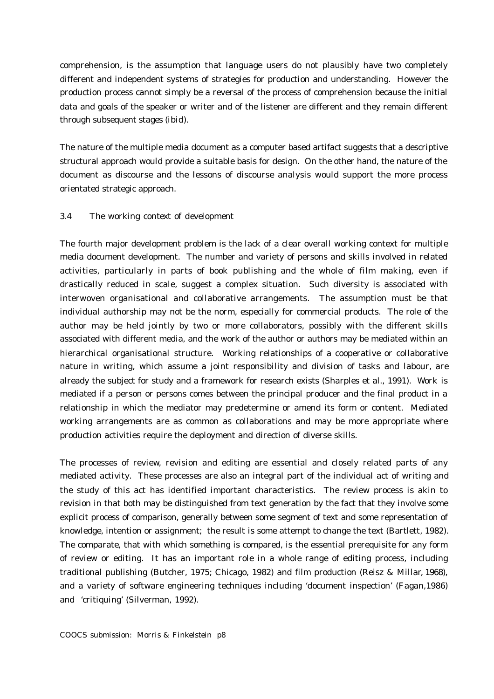comprehension, is the assumption that language users do not plausibly have two completely different and independent systems of strategies for production and understanding. However the production process cannot simply be a reversal of the process of comprehension because the initial data and goals of the speaker or writer and of the listener are different and they remain different through subsequent stages (*ibid*).

The nature of the multiple media document as a computer based artifact suggests that a descriptive structural approach would provide a suitable basis for design. On the other hand, the nature of the document as discourse and the lessons of discourse analysis would support the more process orientated strategic approach.

#### *3.4 The working context of development*

The fourth major development problem is the lack of a clear overall working context for multiple media document development. The number and variety of persons and skills involved in related activities, particularly in parts of book publishing and the whole of film making, even if drastically reduced in scale, suggest a complex situation. Such diversity is associated with interwoven organisational and collaborative arrangements. The assumption must be that individual authorship may not be the norm, especially for commercial products. The role of the author may be held jointly by two or more collaborators, possibly with the different skills associated with different media, and the work of the author or authors may be mediated within an hierarchical organisational structure. Working relationships of a cooperative or collaborative nature in writing, which assume a joint responsibility and division of tasks and labour, are already the subject for study and a framework for research exists (Sharples et al., 1991). Work is mediated if a person or persons comes between the principal producer and the final product in a relationship in which the mediator may predetermine or amend its form or content. Mediated working arrangements are as common as collaborations and may be more appropriate where production activities require the deployment and direction of diverse skills.

The processes of review, revision and editing are essential and closely related parts of any mediated activity. These processes are also an integral part of the individual act of writing and the study of this act has identified important characteristics. The review process is akin to revision in that both may be distinguished from text generation by the fact that they involve some explicit process of comparison, generally between some segment of text and some representation of knowledge, intention or assignment; the result is some attempt to change the text (Bartlett, 1982). The comparate, that with which something is compared, is the essential prerequisite for any form of review or editing. It has an important role in a whole range of editing process, including traditional publishing (Butcher, 1975; Chicago, 1982) and film production (Reisz & Millar, 1968), and a variety of software engineering techniques including 'document inspection' (Fagan,1986) and 'critiquing' (Silverman, 1992).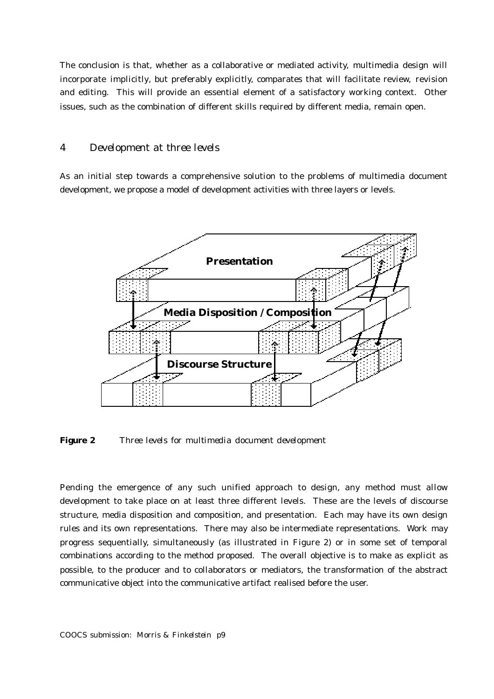The conclusion is that, whether as a collaborative or mediated activity, multimedia design will incorporate implicitly, but preferably explicitly, comparates that will facilitate review, revision and editing. This will provide an essential element of a satisfactory working context. Other issues, such as the combination of different skills required by different media, remain open.

#### *4 Development at three levels*

As an initial step towards a comprehensive solution to the problems of multimedia document development, we propose a model of development activities with three layers or levels.



*Figure 2 Three levels for multimedia document development*

Pending the emergence of any such unified approach to design, any method must allow development to take place on at least three different levels. These are the levels of discourse structure, media disposition and composition, and presentation. Each may have its own design rules and its own representations. There may also be intermediate representations. Work may progress sequentially, simultaneously (as illustrated in Figure 2) or in some set of temporal combinations according to the method proposed. The overall objective is to make as explicit as possible, to the producer and to collaborators or mediators, the transformation of the abstract communicative object into the communicative artifact realised before the user.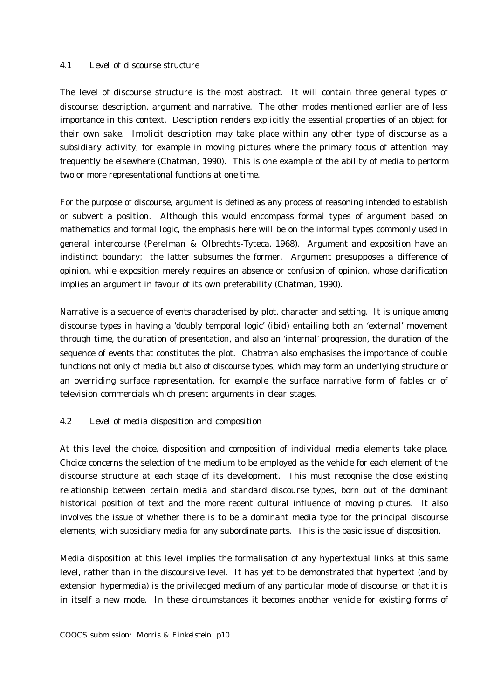### *4.1 Level of discourse structure*

The level of discourse structure is the most abstract. It will contain three general types of discourse: description, argument and narrative. The other modes mentioned earlier are of less importance in this context. Description renders explicitly the essential properties of an object for their own sake. Implicit description may take place within any other type of discourse as a subsidiary activity, for example in moving pictures where the primary focus of attention may frequently be elsewhere (Chatman, 1990). This is one example of the ability of media to perform two or more representational functions at one time.

For the purpose of discourse, argument is defined as any process of reasoning intended to establish or subvert a position. Although this would encompass formal types of argument based on mathematics and formal logic, the emphasis here will be on the informal types commonly used in general intercourse (Perelman & Olbrechts-Tyteca, 1968). Argument and exposition have an indistinct boundary; the latter subsumes the former. Argument presupposes a difference of opinion, while exposition merely requires an absence or confusion of opinion, whose clarification implies an argument in favour of its own preferability (Chatman, 1990).

Narrative is a sequence of events characterised by plot, character and setting. It is unique among discourse types in having a 'doubly temporal logic' (*ibid*) entailing both an 'external' movement through time, the duration of presentation, and also an 'internal' progression, the duration of the sequence of events that constitutes the plot. Chatman also emphasises the importance of double functions not only of media but also of discourse types, which may form an underlying structure or an overriding surface representation, for example the surface narrative form of fables or of television commercials which present arguments in clear stages.

### *4.2 Level of media disposition and composition*

At this level the choice, disposition and composition of individual media elements take place. Choice concerns the selection of the medium to be employed as the vehicle for each element of the discourse structure at each stage of its development. This must recognise the close existing relationship between certain media and standard discourse types, born out of the dominant historical position of text and the more recent cultural influence of moving pictures. It also involves the issue of whether there is to be a dominant media type for the principal discourse elements, with subsidiary media for any subordinate parts. This is the basic issue of disposition.

Media disposition at this level implies the formalisation of any hypertextual links at this same level, rather than in the discoursive level. It has yet to be demonstrated that hypertext (and by extension hypermedia) is the priviledged medium of any particular mode of discourse, or that it is in itself a new mode. In these circumstances it becomes another vehicle for existing forms of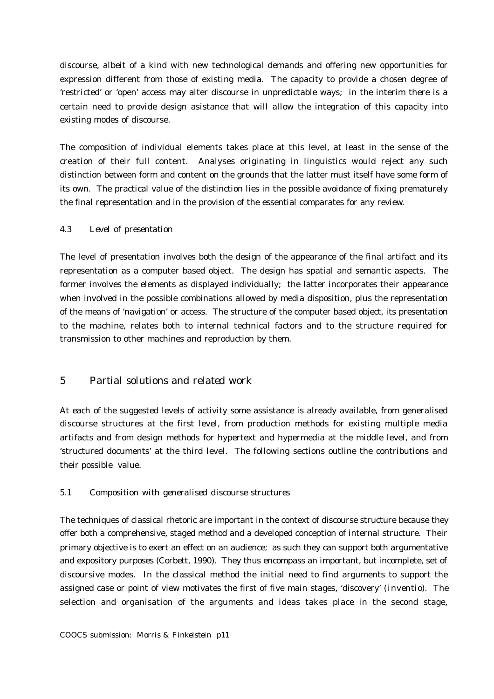discourse, albeit of a kind with new technological demands and offering new opportunities for expression different from those of existing media. The capacity to provide a chosen degree of 'restricted' or 'open' access may alter discourse in unpredictable ways; in the interim there is a certain need to provide design asistance that will allow the integration of this capacity into existing modes of discourse.

The composition of individual elements takes place at this level, at least in the sense of the creation of their full content. Analyses originating in linguistics would reject any such distinction between form and content on the grounds that the latter must itself have some form of its own. The practical value of the distinction lies in the possible avoidance of fixing prematurely the final representation and in the provision of the essential comparates for any review.

## *4.3 Level of presentation*

The level of presentation involves both the design of the appearance of the final artifact and its representation as a computer based object. The design has spatial and semantic aspects. The former involves the elements as displayed individually; the latter incorporates their appearance when involved in the possible combinations allowed by media disposition, plus the representation of the means of 'navigation' or access. The structure of the computer based object, its presentation to the machine, relates both to internal technical factors and to the structure required for transmission to other machines and reproduction by them.

# *5 Partial solutions and related work*

At each of the suggested levels of activity some assistance is already available, from generalised discourse structures at the first level, from production methods for existing multiple media artifacts and from design methods for hypertext and hypermedia at the middle level, and from 'structured documents' at the third level. The following sections outline the contributions and their possible value.

### *5.1 Composition with generalised discourse structures*

The techniques of classical rhetoric are important in the context of discourse structure because they offer both a comprehensive, staged method and a developed conception of internal structure. Their primary objective is to exert an effect on an audience; as such they can support both argumentative and expository purposes (Corbett, 1990). They thus encompass an important, but incomplete, set of discoursive modes. In the classical method the initial need to find arguments to support the assigned case or point of view motivates the first of five main stages, 'discovery' (*inventio*). The selection and organisation of the arguments and ideas takes place in the second stage,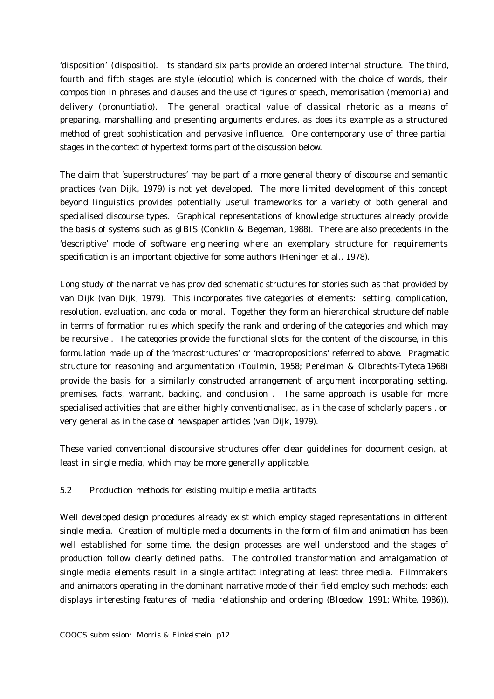'disposition' (*dispositio*). Its standard six parts provide an ordered internal structure. The third, fourth and fifth stages are style (*elocutio*) which is concerned with the choice of words, their composition in phrases and clauses and the use of figures of speech, memorisation (*memoria*) and delivery (*pronuntiatio*). The general practical value of classical rhetoric as a means of preparing, marshalling and presenting arguments endures, as does its example as a structured method of great sophistication and pervasive influence. One contemporary use of three partial stages in the context of hypertext forms part of the discussion below.

The claim that 'superstructures' may be part of a more general theory of discourse and semantic practices (van Dijk, 1979) is not yet developed. The more limited development of this concept beyond linguistics provides potentially useful frameworks for a variety of both general and specialised discourse types. Graphical representations of knowledge structures already provide the basis of systems such as gIBIS (Conklin & Begeman, 1988). There are also precedents in the 'descriptive' mode of software engineering where an exemplary structure for requirements specification is an important objective for some authors (Heninger et al., 1978).

Long study of the narrative has provided schematic structures for stories such as that provided by van Dijk (van Dijk, 1979). This incorporates five categories of elements: setting, complication, resolution, evaluation, and coda or moral. Together they form an hierarchical structure definable in terms of formation rules which specify the rank and ordering of the categories and which may be recursive . The categories provide the functional slots for the content of the discourse, in this formulation made up of the 'macrostructures' or 'macropropositions' referred to above. Pragmatic structure for reasoning and argumentation (Toulmin, 1958; Perelman & Olbrechts-Tyteca 1968) provide the basis for a similarly constructed arrangement of argument incorporating setting, premises, facts, warrant, backing, and conclusion . The same approach is usable for more specialised activities that are either highly conventionalised, as in the case of scholarly papers , or very general as in the case of newspaper articles (van Dijk, 1979).

These varied conventional discoursive structures offer clear guidelines for document design, at least in single media, which may be more generally applicable.

# *5.2 Production methods for existing multiple media artifacts*

Well developed design procedures already exist which employ staged representations in different single media. Creation of multiple media documents in the form of film and animation has been well established for some time, the design processes are well understood and the stages of production follow clearly defined paths. The controlled transformation and amalgamation of single media elements result in a single artifact integrating at least three media. Filmmakers and animators operating in the dominant narrative mode of their field employ such methods; each displays interesting features of media relationship and ordering (Bloedow, 1991; White, 1986)).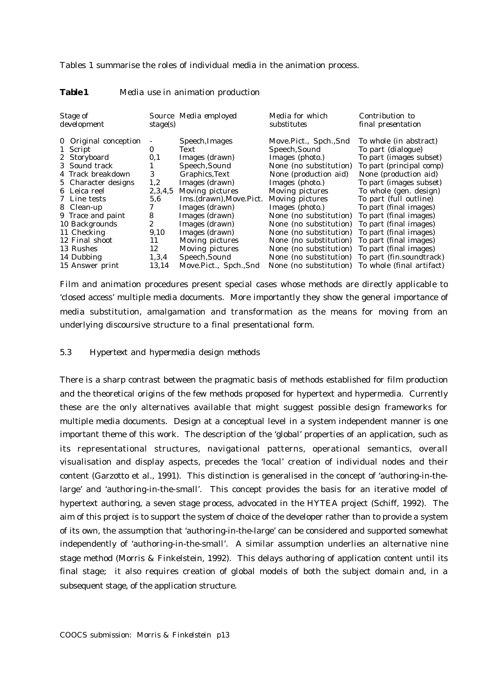Tables 1 summarise the roles of individual media in the animation process.

| Stage of<br>development                                                                                                                                                                                                                           | stage(s)                                                                                        | Source Media employed                                                                                                                                                                                                                                      | Media for which<br>substitutes                                                                                                                                                                                                                                                                                             | Contribution to<br>final presentation                                                                                                                                                                                                                                                                                                                                   |
|---------------------------------------------------------------------------------------------------------------------------------------------------------------------------------------------------------------------------------------------------|-------------------------------------------------------------------------------------------------|------------------------------------------------------------------------------------------------------------------------------------------------------------------------------------------------------------------------------------------------------------|----------------------------------------------------------------------------------------------------------------------------------------------------------------------------------------------------------------------------------------------------------------------------------------------------------------------------|-------------------------------------------------------------------------------------------------------------------------------------------------------------------------------------------------------------------------------------------------------------------------------------------------------------------------------------------------------------------------|
| 0 Original conception<br>1 Script<br>2 Storyboard<br>3 Sound track<br>4 Track breakdown<br>5 Character designs<br>6 Leica reel<br>7 Line tests<br>8 Clean-up<br>9 Trace and paint<br>10 Backgrounds<br>11 Checking<br>12 Final shoot<br>13 Rushes | $\bf{0}$<br>0,1<br>3<br>1,2<br>2,3,4,5<br>5.6<br>7<br>8<br>$\boldsymbol{2}$<br>9,10<br>11<br>12 | Speech, Images<br>Text<br>Images (drawn)<br>Speech, Sound<br>Graphics, Text<br>Images (drawn)<br>Moving pictures<br>Ims.(drawn), Move. Pict.<br>Images (drawn)<br>Images (drawn)<br>Images (drawn)<br>Images (drawn)<br>Moving pictures<br>Moving pictures | Move.Pict., Spch.,Snd<br>Speech, Sound<br>Images (photo.)<br>None (no substitution)<br>None (production aid)<br>Images (photo.)<br>Moving pictures<br>Moving pictures<br>Images (photo.)<br>None (no substitution)<br>None (no substitution)<br>None (no substitution)<br>None (no substitution)<br>None (no substitution) | To whole (in abstract)<br>To part (dialogue)<br>To part (images subset)<br>To part (principal comp)<br>None (production aid)<br>To part (images subset)<br>To whole (gen. design)<br>To part (full outline)<br>To part (final images)<br>To part (final images)<br>To part (final images)<br>To part (final images)<br>To part (final images)<br>To part (final images) |
| 14 Dubbing<br>15 Answer print                                                                                                                                                                                                                     | 1,3,4<br>13,14                                                                                  | Speech, Sound<br>Move.Pict., Spch.,Snd                                                                                                                                                                                                                     | None (no substitution)<br>None (no substitution)                                                                                                                                                                                                                                                                           | To part (fin.soundtrack)<br>To whole (final artifact)                                                                                                                                                                                                                                                                                                                   |

### *Table 1 Media use in animation production*

Film and animation procedures present special cases whose methods are directly applicable to 'closed access' multiple media documents. More importantly they show the general importance of media substitution, amalgamation and transformation as the means for moving from an underlying discoursive structure to a final presentational form.

#### *5.3 Hypertext and hypermedia design methods*

There is a sharp contrast between the pragmatic basis of methods established for film production and the theoretical origins of the few methods proposed for hypertext and hypermedia. Currently these are the only alternatives available that might suggest possible design frameworks for multiple media documents. Design at a conceptual level in a system independent manner is one important theme of this work. The description of the 'global' properties of an application, such as its representational structures, navigational patterns, operational semantics, overall visualisation and display aspects, precedes the 'local' creation of individual nodes and their content (Garzotto et al., 1991). This distinction is generalised in the concept of 'authoring-in-thelarge' and 'authoring-in-the-small'. This concept provides the basis for an iterative model of hypertext authoring, a seven stage process, advocated in the HYTEA project (Schiff, 1992). The aim of this project is to support the system of choice of the developer rather than to provide a system of its own, the assumption that 'authoring-in-the-large' can be considered and supported somewhat independently of 'authoring-in-the-small'. A similar assumption underlies an alternative nine stage method (Morris & Finkelstein, 1992). This delays authoring of application content until its final stage; it also requires creation of global models of both the subject domain and, in a subsequent stage, of the application structure.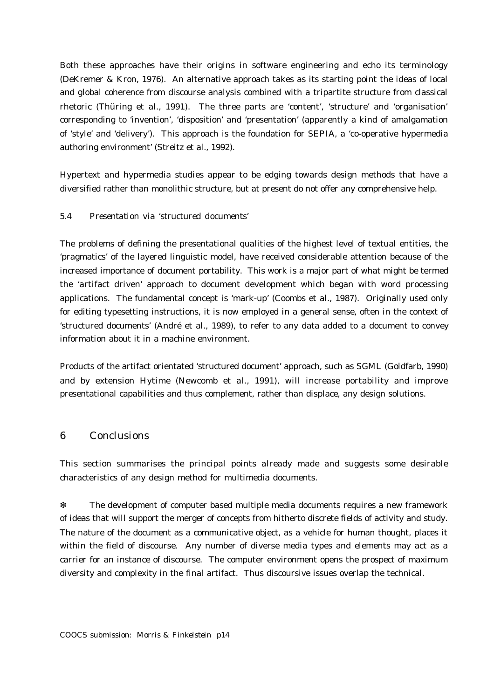Both these approaches have their origins in software engineering and echo its terminology (DeKremer & Kron, 1976). An alternative approach takes as its starting point the ideas of local and global coherence from discourse analysis combined with a tripartite structure from classical rhetoric (Thüring et al., 1991). The three parts are 'content', 'structure' and 'organisation' corresponding to 'invention', 'disposition' and 'presentation' (apparently a kind of amalgamation of 'style' and 'delivery'). This approach is the foundation for SEPIA, a 'co-operative hypermedia authoring environment' (Streitz et al., 1992).

Hypertext and hypermedia studies appear to be edging towards design methods that have a diversified rather than monolithic structure, but at present do not offer any comprehensive help.

## *5.4 Presentation via 'structured documents'*

The problems of defining the presentational qualities of the highest level of textual entities, the 'pragmatics' of the layered linguistic model, have received considerable attention because of the increased importance of document portability. This work is a major part of what might be termed the 'artifact driven' approach to document development which began with word processing applications. The fundamental concept is 'mark-up' (Coombs et al., 1987). Originally used only for editing typesetting instructions, it is now employed in a general sense, often in the context of 'structured documents' (André et al., 1989), to refer to any data added to a document to convey information about it in a machine environment.

Products of the artifact orientated 'structured document' approach, such as SGML (Goldfarb, 1990) and by extension Hytime (Newcomb et al., 1991), will increase portability and improve presentational capabilities and thus complement, rather than displace, any design solutions.

## *6 Conclusions*

This section summarises the principal points already made and suggests some desirable characteristics of any design method for multimedia documents.

❇ The development of computer based multiple media documents requires a new framework of ideas that will support the merger of concepts from hitherto discrete fields of activity and study. The nature of the document as a communicative object, as a vehicle for human thought, places it within the field of discourse. Any number of diverse media types and elements may act as a carrier for an instance of discourse. The computer environment opens the prospect of maximum diversity and complexity in the final artifact. Thus discoursive issues overlap the technical.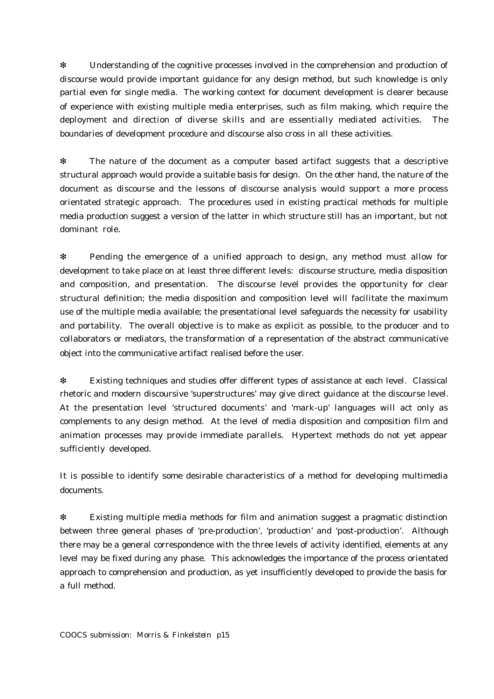❇ Understanding of the cognitive processes involved in the comprehension and production of discourse would provide important guidance for any design method, but such knowledge is only partial even for single media. The working context for document development is clearer because of experience with existing multiple media enterprises, such as film making, which require the deployment and direction of diverse skills and are essentially mediated activities. The boundaries of development procedure and discourse also cross in all these activities.

The nature of the document as a computer based artifact suggests that a descriptive structural approach would provide a suitable basis for design. On the other hand, the nature of the document as discourse and the lessons of discourse analysis would support a more process orientated strategic approach. The procedures used in existing practical methods for multiple media production suggest a version of the latter in which structure still has an important, but not dominant role.

❇ Pending the emergence of a unified approach to design, any method must allow for development to take place on at least three different levels: discourse structure, media disposition and composition, and presentation. The discourse level provides the opportunity for clear structural definition; the media disposition and composition level will facilitate the maximum use of the multiple media available; the presentational level safeguards the necessity for usability and portability. The overall objective is to make as explicit as possible, to the producer and to collaborators or mediators, the transformation of a representation of the abstract communicative object into the communicative artifact realised before the user.

❇ Existing techniques and studies offer different types of assistance at each level. Classical rhetoric and modern discoursive 'superstructures' may give direct guidance at the discourse level. At the presentation level 'structured documents' and 'mark-up' languages will act only as complements to any design method. At the level of media disposition and composition film and animation processes may provide immediate parallels. Hypertext methods do not yet appear sufficiently developed.

It is possible to identify some desirable characteristics of a method for developing multimedia documents.

❇ Existing multiple media methods for film and animation suggest a pragmatic distinction between three general phases of 'pre-production', 'production' and 'post-production'. Although there may be a general correspondence with the three levels of activity identified, elements at any level may be fixed during any phase. This acknowledges the importance of the process orientated approach to comprehension and production, as yet insufficiently developed to provide the basis for a full method.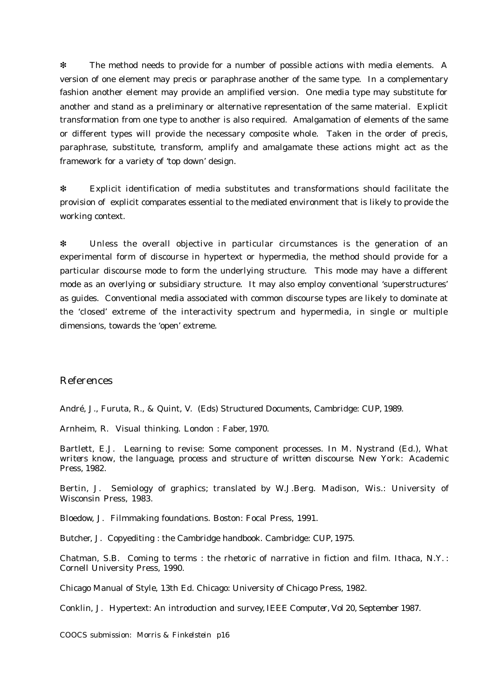❇ The method needs to provide for a number of possible actions with media elements. A version of one element may precis or paraphrase another of the same type. In a complementary fashion another element may provide an amplified version. One media type may substitute for another and stand as a preliminary or alternative representation of the same material. Explicit transformation from one type to another is also required. Amalgamation of elements of the same or different types will provide the necessary composite whole. Taken in the order of precis, paraphrase, substitute, transform, amplify and amalgamate these actions might act as the framework for a variety of 'top down' design.

❇ Explicit identification of media substitutes and transformations should facilitate the provision of explicit comparates essential to the mediated environment that is likely to provide the working context.

❇ Unless the overall objective in particular circumstances is the generation of an experimental form of discourse in hypertext or hypermedia, the method should provide for a particular discourse mode to form the underlying structure. This mode may have a different mode as an overlying or subsidiary structure. It may also employ conventional 'superstructures' as guides. Conventional media associated with common discourse types are likely to dominate at the 'closed' extreme of the interactivity spectrum and hypermedia, in single or multiple dimensions, towards the 'open' extreme.

# *References*

André, J., Furuta, R., & Quint, V. (Eds) Structured Documents, Cambridge: CUP, 1989.

Arnheim, R. Visual thinking. London : Faber, 1970.

Bartlett, E.J. Learning to revise: Some component processes. In M. Nystrand (Ed.), *What writers know, the language, process and structure of written discourse*. New York: Academic Press, 1982.

Bertin, J. Semiology of graphics; translated by W.J.Berg. Madison, Wis.: University of Wisconsin Press, 1983.

Bloedow, J. Filmmaking foundations. Boston: Focal Press, 1991.

Butcher, J. Copyediting : the Cambridge handbook. Cambridge: CUP, 1975.

Chatman, S.B. Coming to terms : the rhetoric of narrative in fiction and film. Ithaca, N.Y. : Cornell University Press, 1990.

Chicago Manual of Style, 13th Ed. Chicago: University of Chicago Press, 1982.

Conklin, J. Hypertext: An introduction and survey, *IEEE Computer,* Vol 20, September 1987.

*COOCS submission: Morris & Finkelstein p16*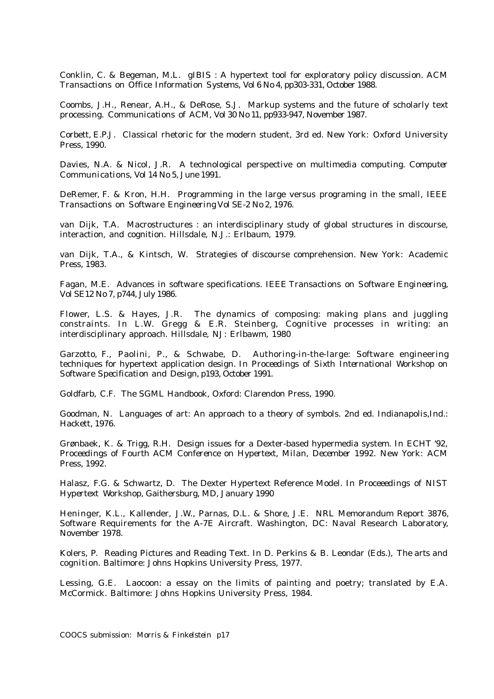Conklin, C. & Begeman, M.L. gIBIS : A hypertext tool for exploratory policy discussion. *ACM Transactions on Office Information Systems*, Vol 6 No 4, pp303-331, October 1988.

Coombs, J.H., Renear, A.H., & DeRose, S.J. Markup systems and the future of scholarly text processing. *Communications of ACM*, Vol 30 No 11, pp933-947, November 1987.

Corbett, E.P.J. Classical rhetoric for the modern student, 3rd ed. New York: Oxford University Press, 1990.

Davies, N.A. & Nicol, J.R. A technological perspective on multimedia computing. *Computer Communications*, Vol 14 No 5, June 1991.

DeRemer, F. & Kron, H.H. Programming in the large versus programing in the small, *IEEE Transactions on Software Engineering* Vol SE-2 No 2, 1976.

van Dijk, T.A. Macrostructures : an interdisciplinary study of global structures in discourse, interaction, and cognition. Hillsdale, N.J.: Erlbaum, 1979.

van Dijk, T.A., & Kintsch, W. Strategies of discourse comprehension. New York: Academic Press, 1983.

Fagan, M.E. Advances in software specifications. *IEEE Transactions on Software Engineering*, Vol SE12 No 7, p744, July 1986.

Flower, L.S. & Hayes, J.R. The dynamics of composing: making plans and juggling constraints. In L.W. Gregg & E.R. Steinberg, Cognitive processes in writing: an interdisciplinary approach. Hillsdale, NJ: Erlbawm, 1980

Garzotto, F., Paolini, P., & Schwabe, D. Authoring-in-the-large: Software engineering techniques for hypertext application design. In *Proceedings of Sixth International Workshop on Software Specification and Design*, p193, October 1991.

Goldfarb, C.F. The SGML Handbook, Oxford: Clarendon Press, 1990.

Goodman, N. Languages of art: An approach to a theory of symbols. 2nd ed. Indianapolis,Ind.: Hackett, 1976.

Grønbaek, K. & Trigg, R.H. Design issues for a Dexter-based hypermedia system. In *ECHT '92, Proceedings of Fourth ACM Conference on Hypertext, Milan, December 1992.* New York: ACM Press, 1992.

Halasz, F.G. & Schwartz, D. The Dexter Hypertext Reference Model. In *Proceeedings of NIST Hypertext Workshop*, Gaithersburg, MD, January 1990

Heninger, K.L., Kallender, J.W., Parnas, D.L. & Shore, J.E. NRL Memorandum Report 3876, Software Requirements for the A-7E Aircraft. Washington, DC: Naval Research Laboratory, November 1978.

Kolers, P. Reading Pictures and Reading Text. In D. Perkins & B. Leondar (Eds.), *The arts and cognition*. Baltimore: Johns Hopkins University Press, 1977.

Lessing, G.E. Laocoon: a essay on the limits of painting and poetry; translated by E.A. McCormick. Baltimore: Johns Hopkins University Press, 1984.